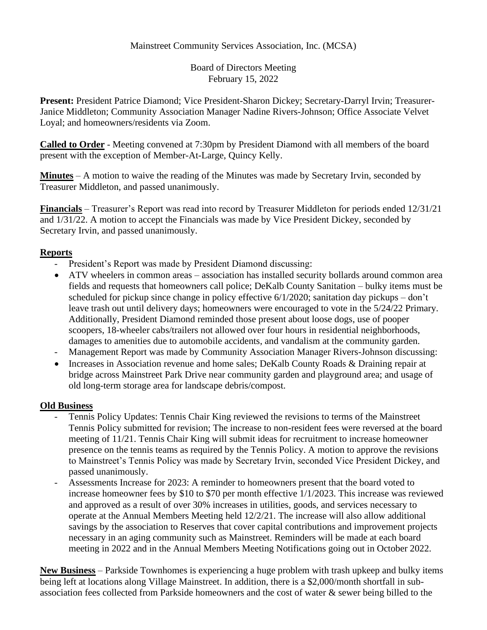## Mainstreet Community Services Association, Inc. (MCSA)

Board of Directors Meeting February 15, 2022

**Present:** President Patrice Diamond; Vice President-Sharon Dickey; Secretary-Darryl Irvin; Treasurer-Janice Middleton; Community Association Manager Nadine Rivers-Johnson; Office Associate Velvet Loyal; and homeowners/residents via Zoom.

**Called to Order** - Meeting convened at 7:30pm by President Diamond with all members of the board present with the exception of Member-At-Large, Quincy Kelly.

**Minutes** – A motion to waive the reading of the Minutes was made by Secretary Irvin, seconded by Treasurer Middleton, and passed unanimously.

**Financials** – Treasurer's Report was read into record by Treasurer Middleton for periods ended 12/31/21 and 1/31/22. A motion to accept the Financials was made by Vice President Dickey, seconded by Secretary Irvin, and passed unanimously.

## **Reports**

- President's Report was made by President Diamond discussing:
- ATV wheelers in common areas association has installed security bollards around common area fields and requests that homeowners call police; DeKalb County Sanitation – bulky items must be scheduled for pickup since change in policy effective 6/1/2020; sanitation day pickups – don't leave trash out until delivery days; homeowners were encouraged to vote in the 5/24/22 Primary. Additionally, President Diamond reminded those present about loose dogs, use of pooper scoopers, 18-wheeler cabs/trailers not allowed over four hours in residential neighborhoods, damages to amenities due to automobile accidents, and vandalism at the community garden.
- Management Report was made by Community Association Manager Rivers-Johnson discussing:
- Increases in Association revenue and home sales: DeKalb County Roads & Draining repair at bridge across Mainstreet Park Drive near community garden and playground area; and usage of old long-term storage area for landscape debris/compost.

## **Old Business**

- Tennis Policy Updates: Tennis Chair King reviewed the revisions to terms of the Mainstreet Tennis Policy submitted for revision; The increase to non-resident fees were reversed at the board meeting of 11/21. Tennis Chair King will submit ideas for recruitment to increase homeowner presence on the tennis teams as required by the Tennis Policy. A motion to approve the revisions to Mainstreet's Tennis Policy was made by Secretary Irvin, seconded Vice President Dickey, and passed unanimously.
- Assessments Increase for 2023: A reminder to homeowners present that the board voted to increase homeowner fees by \$10 to \$70 per month effective 1/1/2023. This increase was reviewed and approved as a result of over 30% increases in utilities, goods, and services necessary to operate at the Annual Members Meeting held 12/2/21. The increase will also allow additional savings by the association to Reserves that cover capital contributions and improvement projects necessary in an aging community such as Mainstreet. Reminders will be made at each board meeting in 2022 and in the Annual Members Meeting Notifications going out in October 2022.

**New Business** – Parkside Townhomes is experiencing a huge problem with trash upkeep and bulky items being left at locations along Village Mainstreet. In addition, there is a \$2,000/month shortfall in subassociation fees collected from Parkside homeowners and the cost of water & sewer being billed to the